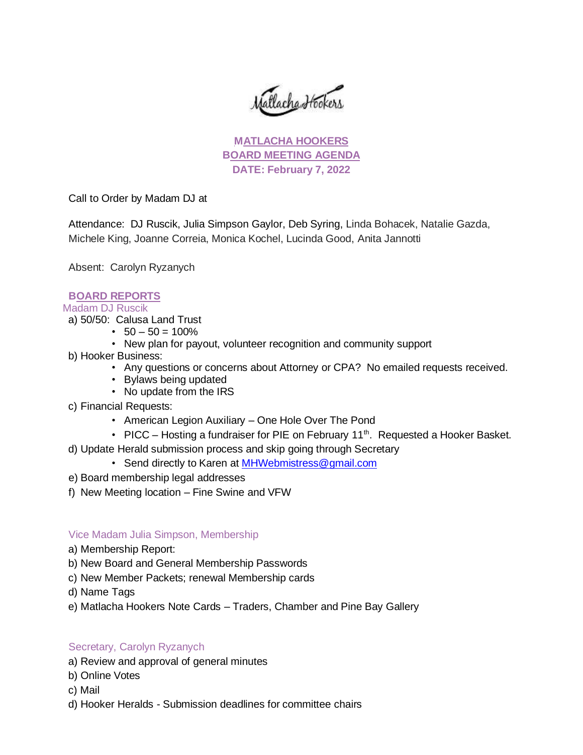atlache Hookers

**MATLACHA HOOKERS BOARD MEETING AGENDA DATE: February 7, 2022**

Call to Order by Madam DJ at

Attendance: DJ Ruscik, Julia Simpson Gaylor, Deb Syring, Linda Bohacek, Natalie Gazda, Michele King, Joanne Correia, Monica Kochel, Lucinda Good, Anita Jannotti

Absent: Carolyn Ryzanych

# **BOARD REPORTS**

Madam DJ Ruscik

- a) 50/50: Calusa Land Trust
	- $\cdot$  50 50 = 100%
	- New plan for payout, volunteer recognition and community support
- b) Hooker Business:
	- Any questions or concerns about Attorney or CPA? No emailed requests received.
	- Bylaws being updated
	- No update from the IRS
- c) Financial Requests:
	- American Legion Auxiliary One Hole Over The Pond
	- PICC Hosting a fundraiser for PIE on February 11<sup>th</sup>. Requested a Hooker Basket.
- d) Update Herald submission process and skip going through Secretary
	- Send directly to Karen at [MHWebmistress@gmail.com](mailto:MHWebmistress@gmail.com)
- e) Board membership legal addresses
- f) New Meeting location Fine Swine and VFW

# Vice Madam Julia Simpson, Membership

- a) Membership Report:
- b) New Board and General Membership Passwords
- c) New Member Packets; renewal Membership cards
- d) Name Tags
- e) Matlacha Hookers Note Cards Traders, Chamber and Pine Bay Gallery

### Secretary, Carolyn Ryzanych

- a) Review and approval of general minutes
- b) Online Votes
- c) Mail
- d) Hooker Heralds Submission deadlines for committee chairs